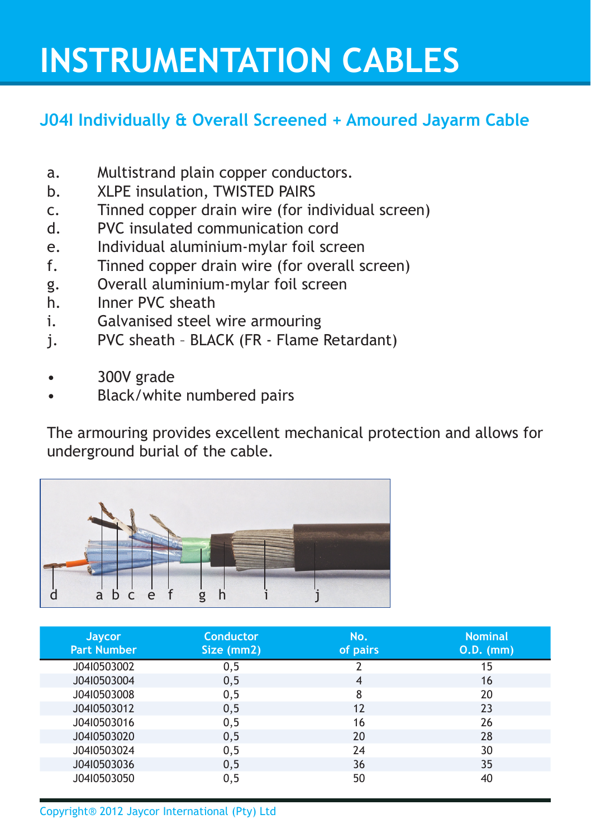## **INSTRUMENTATION CABLES**

## **J04I Individually & Overall Screened + Amoured Jayarm Cable**

- a. Multistrand plain copper conductors.
- b. XLPE insulation, TWISTED PAIRS
- c. Tinned copper drain wire (for individual screen)
- d. PVC insulated communication cord
- e. Individual aluminium-mylar foil screen
- f. Tinned copper drain wire (for overall screen)
- g. Overall aluminium-mylar foil screen
- h. Inner PVC sheath
- i. Galvanised steel wire armouring
- j. PVC sheath BLACK (FR Flame Retardant)
- 300V grade
- Black/white numbered pairs

The armouring provides excellent mechanical protection and allows for underground burial of the cable.



| <b>Jaycor</b><br><b>Part Number</b> | <b>Conductor</b><br>Size (mm2) | No.<br>of pairs | <b>Nominal</b><br>0.D. (mm) |
|-------------------------------------|--------------------------------|-----------------|-----------------------------|
| J04I0503002                         | 0, 5                           | 2               | 15                          |
| J04I0503004                         | 0, 5                           | 4               | 16                          |
| J04I0503008                         | 0, 5                           | 8               | 20                          |
| J04I0503012                         | 0, 5                           | 12              | 23                          |
| J04I0503016                         | 0, 5                           | 16              | 26                          |
| J04I0503020                         | 0, 5                           | 20              | 28                          |
| J04I0503024                         | 0, 5                           | 24              | 30                          |
| J04I0503036                         | 0, 5                           | 36              | 35                          |
| J04I0503050                         | 0, 5                           | 50              | 40                          |